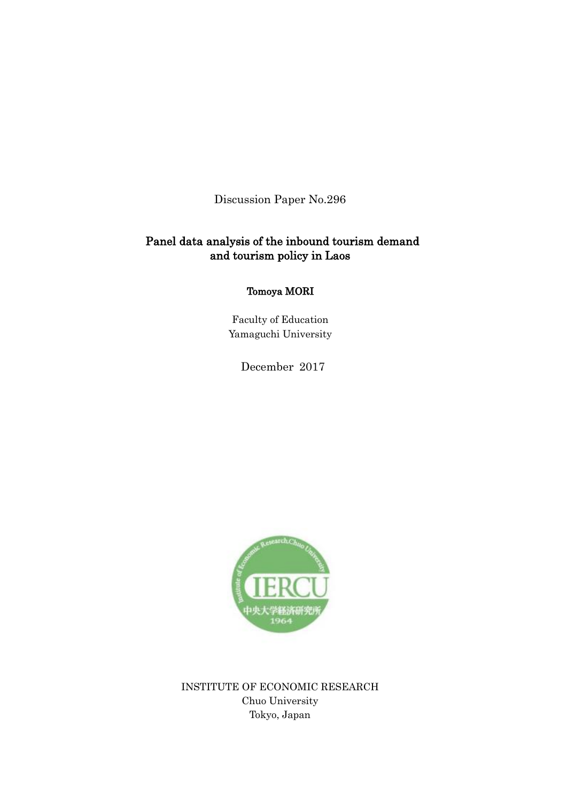Discussion Paper No.296

# Panel data analysis of the inbound tourism demand and tourism policy in Laos

Tomoya MORI

Faculty of Education Yamaguchi University

December 2017



INSTITUTE OF ECONOMIC RESEARCH Chuo University Tokyo, Japan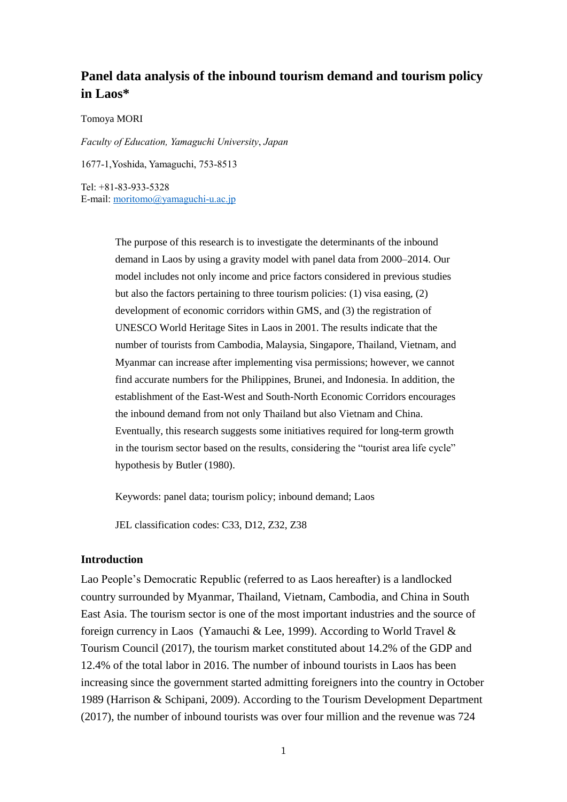# **Panel data analysis of the inbound tourism demand and tourism policy in Laos\***

Tomoya MORI

*Faculty of Education, Yamaguchi University*, *Japan*

1677-1,Yoshida, Yamaguchi, 753-8513

Tel: +81-83-933-5328 E-mail: [moritomo@yamaguchi-u.ac.jp](mailto:moritomo@yamaguchi-u.ac.jp)

> The purpose of this research is to investigate the determinants of the inbound demand in Laos by using a gravity model with panel data from 2000–2014. Our model includes not only income and price factors considered in previous studies but also the factors pertaining to three tourism policies: (1) visa easing, (2) development of economic corridors within GMS, and (3) the registration of UNESCO World Heritage Sites in Laos in 2001. The results indicate that the number of tourists from Cambodia, Malaysia, Singapore, Thailand, Vietnam, and Myanmar can increase after implementing visa permissions; however, we cannot find accurate numbers for the Philippines, Brunei, and Indonesia. In addition, the establishment of the East-West and South-North Economic Corridors encourages the inbound demand from not only Thailand but also Vietnam and China. Eventually, this research suggests some initiatives required for long-term growth in the tourism sector based on the results, considering the "tourist area life cycle" hypothesis by Butler (1980).

Keywords: panel data; tourism policy; inbound demand; Laos

JEL classification codes: C33, D12, Z32, Z38

## **Introduction**

Lao People's Democratic Republic (referred to as Laos hereafter) is a landlocked country surrounded by Myanmar, Thailand, Vietnam, Cambodia, and China in South East Asia. The tourism sector is one of the most important industries and the source of foreign currency in Laos (Yamauchi & Lee, 1999). According to World Travel & Tourism Council (2017), the tourism market constituted about 14.2% of the GDP and 12.4% of the total labor in 2016. The number of inbound tourists in Laos has been increasing since the government started admitting foreigners into the country in October 1989 (Harrison & Schipani, 2009). According to the Tourism Development Department (2017), the number of inbound tourists was over four million and the revenue was 724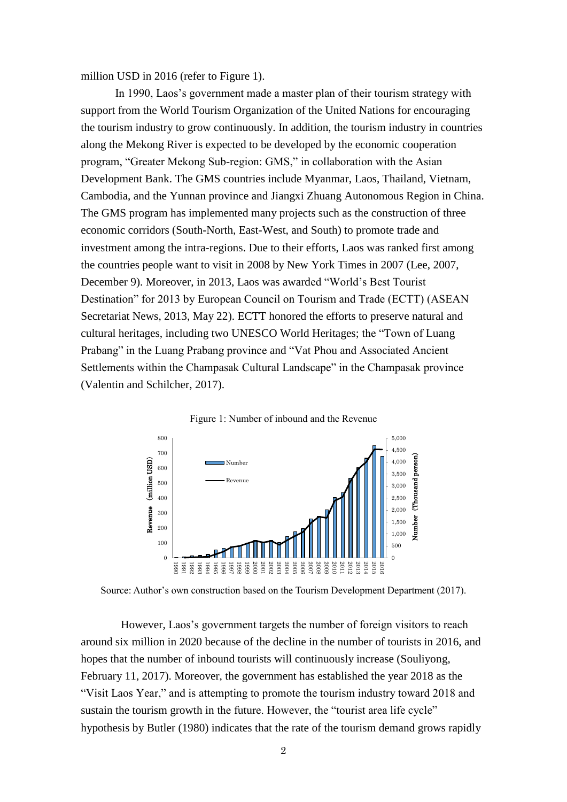million USD in 2016 (refer to Figure 1).

In 1990, Laos's government made a master plan of their tourism strategy with support from the World Tourism Organization of the United Nations for encouraging the tourism industry to grow continuously. In addition, the tourism industry in countries along the Mekong River is expected to be developed by the economic cooperation program, "Greater Mekong Sub-region: GMS," in collaboration with the Asian Development Bank. The GMS countries include Myanmar, Laos, Thailand, Vietnam, Cambodia, and the Yunnan province and Jiangxi Zhuang Autonomous Region in China. The GMS program has implemented many projects such as the construction of three economic corridors (South-North, East-West, and South) to promote trade and investment among the intra-regions. Due to their efforts, Laos was ranked first among the countries people want to visit in 2008 by New York Times in 2007 (Lee, 2007, December 9). Moreover, in 2013, Laos was awarded "World's Best Tourist Destination" for 2013 by European Council on Tourism and Trade (ECTT) (ASEAN Secretariat News, 2013, May 22). ECTT honored the efforts to preserve natural and cultural heritages, including two UNESCO World Heritages; the "Town of Luang Prabang" in the Luang Prabang province and "Vat Phou and Associated Ancient Settlements within the Champasak Cultural Landscape" in the Champasak province (Valentin and Schilcher, 2017).



Figure 1: Number of inbound and the Revenue

Source: Author's own construction based on the Tourism Development Department (2017).

However, Laos's government targets the number of foreign visitors to reach around six million in 2020 because of the decline in the number of tourists in 2016, and hopes that the number of inbound tourists will continuously increase (Souliyong, February 11, 2017). Moreover, the government has established the year 2018 as the "Visit Laos Year," and is attempting to promote the tourism industry toward 2018 and sustain the tourism growth in the future. However, the "tourist area life cycle" hypothesis by Butler (1980) indicates that the rate of the tourism demand grows rapidly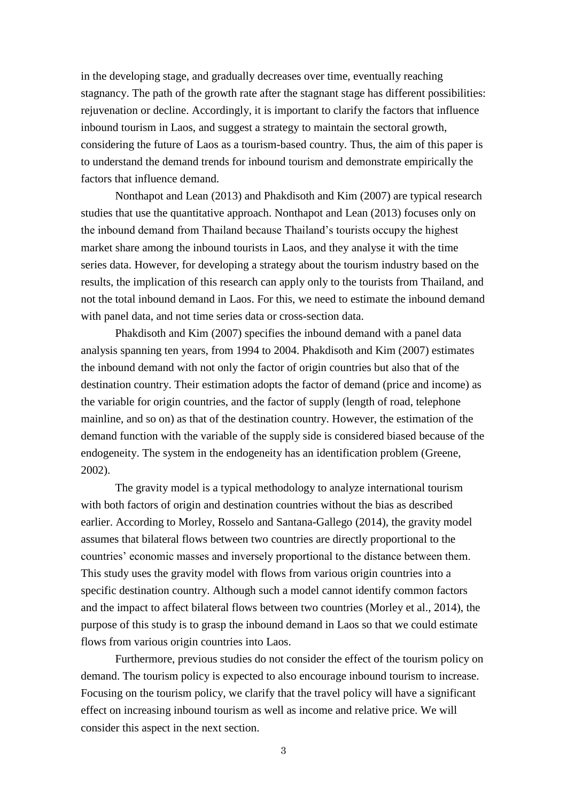in the developing stage, and gradually decreases over time, eventually reaching stagnancy. The path of the growth rate after the stagnant stage has different possibilities: rejuvenation or decline. Accordingly, it is important to clarify the factors that influence inbound tourism in Laos, and suggest a strategy to maintain the sectoral growth, considering the future of Laos as a tourism-based country. Thus, the aim of this paper is to understand the demand trends for inbound tourism and demonstrate empirically the factors that influence demand.

Nonthapot and Lean (2013) and Phakdisoth and Kim (2007) are typical research studies that use the quantitative approach. Nonthapot and Lean (2013) focuses only on the inbound demand from Thailand because Thailand's tourists occupy the highest market share among the inbound tourists in Laos, and they analyse it with the time series data. However, for developing a strategy about the tourism industry based on the results, the implication of this research can apply only to the tourists from Thailand, and not the total inbound demand in Laos. For this, we need to estimate the inbound demand with panel data, and not time series data or cross-section data.

Phakdisoth and Kim (2007) specifies the inbound demand with a panel data analysis spanning ten years, from 1994 to 2004. Phakdisoth and Kim (2007) estimates the inbound demand with not only the factor of origin countries but also that of the destination country. Their estimation adopts the factor of demand (price and income) as the variable for origin countries, and the factor of supply (length of road, telephone mainline, and so on) as that of the destination country. However, the estimation of the demand function with the variable of the supply side is considered biased because of the endogeneity. The system in the endogeneity has an identification problem (Greene, 2002).

The gravity model is a typical methodology to analyze international tourism with both factors of origin and destination countries without the bias as described earlier. According to Morley, Rosselo and Santana-Gallego (2014), the gravity model assumes that bilateral flows between two countries are directly proportional to the countries' economic masses and inversely proportional to the distance between them. This study uses the gravity model with flows from various origin countries into a specific destination country. Although such a model cannot identify common factors and the impact to affect bilateral flows between two countries (Morley et al., 2014), the purpose of this study is to grasp the inbound demand in Laos so that we could estimate flows from various origin countries into Laos.

Furthermore, previous studies do not consider the effect of the tourism policy on demand. The tourism policy is expected to also encourage inbound tourism to increase. Focusing on the tourism policy, we clarify that the travel policy will have a significant effect on increasing inbound tourism as well as income and relative price. We will consider this aspect in the next section.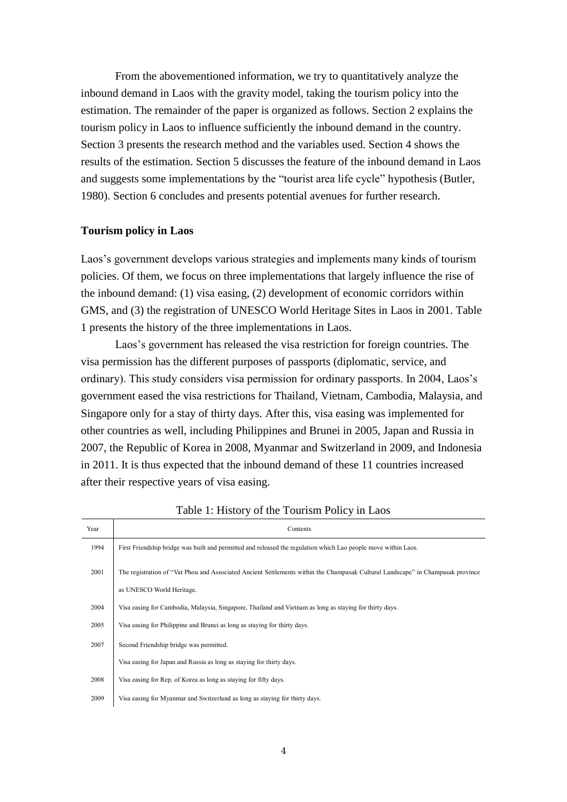From the abovementioned information, we try to quantitatively analyze the inbound demand in Laos with the gravity model, taking the tourism policy into the estimation. The remainder of the paper is organized as follows. Section 2 explains the tourism policy in Laos to influence sufficiently the inbound demand in the country. Section 3 presents the research method and the variables used. Section 4 shows the results of the estimation. Section 5 discusses the feature of the inbound demand in Laos and suggests some implementations by the "tourist area life cycle" hypothesis (Butler, 1980). Section 6 concludes and presents potential avenues for further research.

## **Tourism policy in Laos**

Laos's government develops various strategies and implements many kinds of tourism policies. Of them, we focus on three implementations that largely influence the rise of the inbound demand: (1) visa easing, (2) development of economic corridors within GMS, and (3) the registration of UNESCO World Heritage Sites in Laos in 2001. Table 1 presents the history of the three implementations in Laos.

Laos's government has released the visa restriction for foreign countries. The visa permission has the different purposes of passports (diplomatic, service, and ordinary). This study considers visa permission for ordinary passports. In 2004, Laos's government eased the visa restrictions for Thailand, Vietnam, Cambodia, Malaysia, and Singapore only for a stay of thirty days. After this, visa easing was implemented for other countries as well, including Philippines and Brunei in 2005, Japan and Russia in 2007, the Republic of Korea in 2008, Myanmar and Switzerland in 2009, and Indonesia in 2011. It is thus expected that the inbound demand of these 11 countries increased after their respective years of visa easing.

| Year | Contents                                                                                                                        |  |  |  |  |  |
|------|---------------------------------------------------------------------------------------------------------------------------------|--|--|--|--|--|
| 1994 | First Friendship bridge was built and permitted and released the regulation which Lao people move within Laos.                  |  |  |  |  |  |
| 2001 | The registration of "Vat Phou and Associated Ancient Settlements within the Champasak Cultural Landscape" in Champasak province |  |  |  |  |  |
|      | as UNESCO World Heritage.                                                                                                       |  |  |  |  |  |
| 2004 | Visa easing for Cambodia, Malaysia, Singapore, Thailand and Vietnam as long as staying for thirty days.                         |  |  |  |  |  |
| 2005 | Visa easing for Philippine and Brunei as long as staying for thirty days.                                                       |  |  |  |  |  |
| 2007 | Second Friendship bridge was permitted.                                                                                         |  |  |  |  |  |
|      | Visa easing for Japan and Russia as long as staying for thirty days.                                                            |  |  |  |  |  |
| 2008 | Visa easing for Rep. of Korea as long as staying for fifty days.                                                                |  |  |  |  |  |
| 2009 | Visa easing for Myanmar and Switzerland as long as staying for thirty days.                                                     |  |  |  |  |  |

Table 1: History of the Tourism Policy in Laos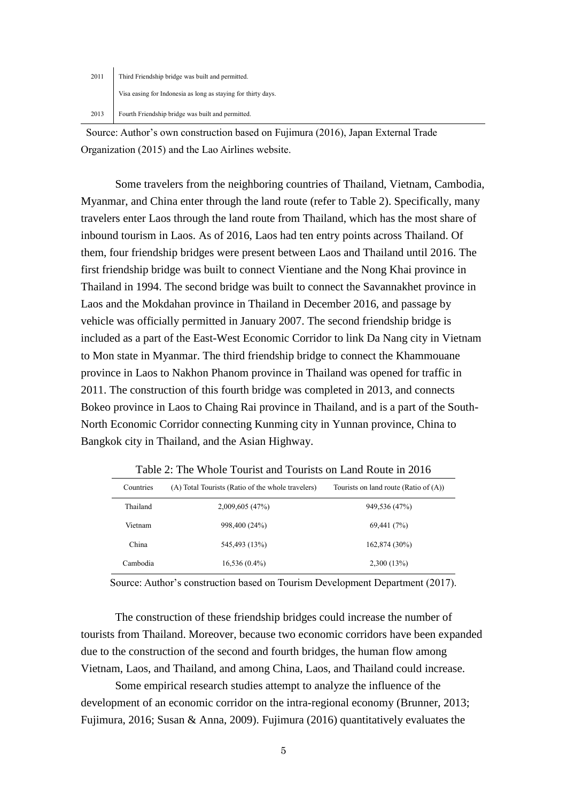| 2011 | Third Friendship bridge was built and permitted.              |
|------|---------------------------------------------------------------|
|      | Visa easing for Indonesia as long as staying for thirty days. |
|      | 2013 Fourth Friendship bridge was built and permitted.        |

Source: Author's own construction based on Fujimura (2016), Japan External Trade Organization (2015) and the Lao Airlines website.

Some travelers from the neighboring countries of Thailand, Vietnam, Cambodia, Myanmar, and China enter through the land route (refer to Table 2). Specifically, many travelers enter Laos through the land route from Thailand, which has the most share of inbound tourism in Laos. As of 2016, Laos had ten entry points across Thailand. Of them, four friendship bridges were present between Laos and Thailand until 2016. The first friendship bridge was built to connect Vientiane and the Nong Khai province in Thailand in 1994. The second bridge was built to connect the Savannakhet province in Laos and the Mokdahan province in Thailand in December 2016, and passage by vehicle was officially permitted in January 2007. The second friendship bridge is included as a part of the East-West Economic Corridor to link Da Nang city in Vietnam to Mon state in Myanmar. The third friendship bridge to connect the Khammouane province in Laos to Nakhon Phanom province in Thailand was opened for traffic in 2011. The construction of this fourth bridge was completed in 2013, and connects Bokeo province in Laos to Chaing Rai province in Thailand, and is a part of the South-North Economic Corridor connecting Kunming city in Yunnan province, China to Bangkok city in Thailand, and the Asian Highway.

| Countries | (A) Total Tourists (Ratio of the whole travelers) | Tourists on land route (Ratio of $(A)$ ) |  |  |
|-----------|---------------------------------------------------|------------------------------------------|--|--|
| Thailand  | 2,009,605 (47%)                                   | 949,536 (47%)                            |  |  |
| Vietnam   | 998,400 (24%)                                     | 69,441 (7%)                              |  |  |
| China     | 545,493 (13%)                                     | 162,874 (30%)                            |  |  |
| Cambodia  | $16,536(0.4\%)$                                   | 2,300(13%)                               |  |  |

Table 2: The Whole Tourist and Tourists on Land Route in 2016

Source: Author's construction based on Tourism Development Department (2017).

The construction of these friendship bridges could increase the number of tourists from Thailand. Moreover, because two economic corridors have been expanded due to the construction of the second and fourth bridges, the human flow among Vietnam, Laos, and Thailand, and among China, Laos, and Thailand could increase.

Some empirical research studies attempt to analyze the influence of the development of an economic corridor on the intra-regional economy (Brunner, 2013; Fujimura, 2016; Susan & Anna, 2009). Fujimura (2016) quantitatively evaluates the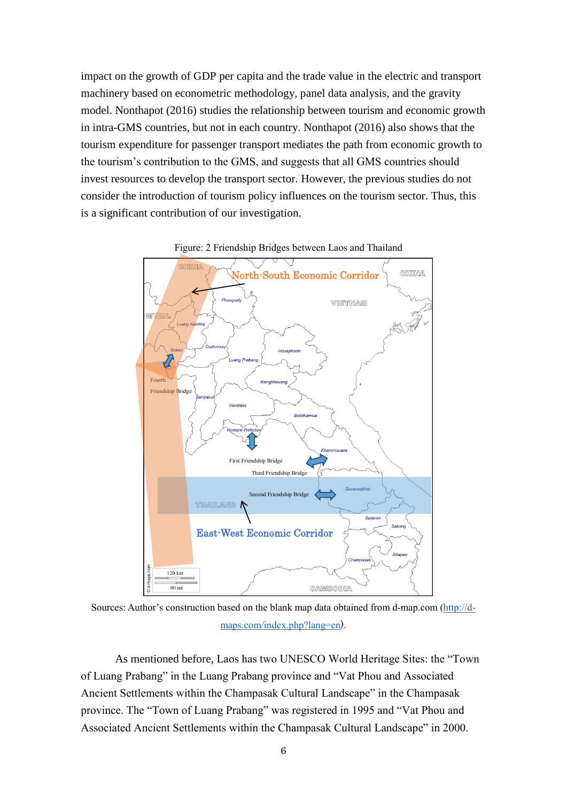impact on the growth of GDP per capita and the trade value in the electric and transport machinery based on econometric methodology, panel data analysis, and the gravity model. Nonthapot (2016) studies the relationship between tourism and economic growth in intra-GMS countries, but not in each country. Nonthapot (2016) also shows that the tourism expenditure for passenger transport mediates the path from economic growth to the tourism's contribution to the GMS, and suggests that all GMS countries should invest resources to develop the transport sector. However, the previous studies do not consider the introduction of tourism policy influences on the tourism sector. Thus, this is a significant contribution of our investigation.



Figure: 2 Friendship Bridges between Laos and Thailand

Sources: Author's construction based on the blank map data obtained from d-map.com [\(http://d](http://d-maps.com/index.php?lang=en)[maps.com/index.php?lang=en](http://d-maps.com/index.php?lang=en)).

As mentioned before, Laos has two UNESCO World Heritage Sites: the "Town of Luang Prabang" in the Luang Prabang province and "Vat Phou and Associated Ancient Settlements within the Champasak Cultural Landscape" in the Champasak province. The "Town of Luang Prabang" was registered in 1995 and "Vat Phou and Associated Ancient Settlements within the Champasak Cultural Landscape" in 2000.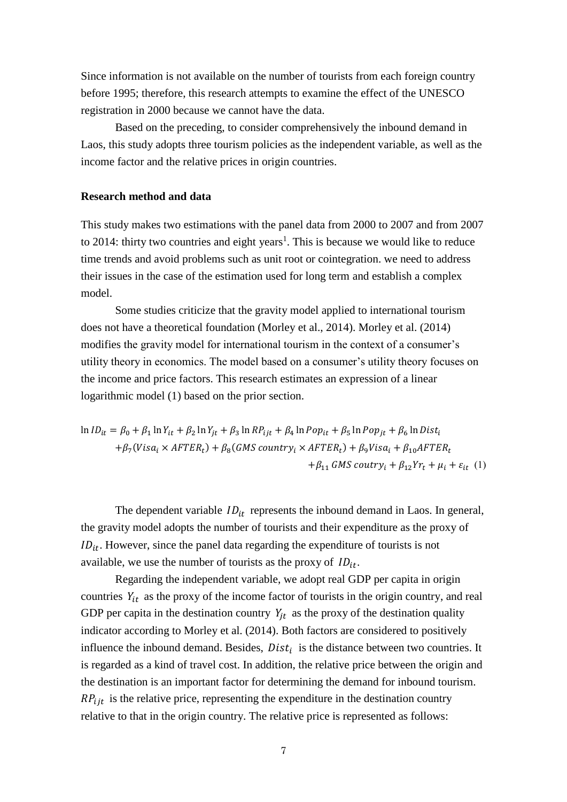Since information is not available on the number of tourists from each foreign country before 1995; therefore, this research attempts to examine the effect of the UNESCO registration in 2000 because we cannot have the data.

Based on the preceding, to consider comprehensively the inbound demand in Laos, this study adopts three tourism policies as the independent variable, as well as the income factor and the relative prices in origin countries.

## **Research method and data**

This study makes two estimations with the panel data from 2000 to 2007 and from 2007 to 2014: thirty two countries and eight years<sup>1</sup>. This is because we would like to reduce time trends and avoid problems such as unit root or cointegration. we need to address their issues in the case of the estimation used for long term and establish a complex model.

Some studies criticize that the gravity model applied to international tourism does not have a theoretical foundation (Morley et al., 2014). Morley et al. (2014) modifies the gravity model for international tourism in the context of a consumer's utility theory in economics. The model based on a consumer's utility theory focuses on the income and price factors. This research estimates an expression of a linear logarithmic model (1) based on the prior section.

 $ln ID_{it} = \beta_0 + \beta_1 ln Y_{it} + \beta_2 ln Y_{jt} + \beta_3 ln RP_{ijt} + \beta_4 ln Pop_{it} + \beta_5 ln Pop_{jt} + \beta_6 ln Dist_i$  $+\beta_7(Visa_i \times AFTER_t) + \beta_8(GMS\ country_i \times AFTER_t) + \beta_9Visa_i + \beta_{10}AFTER_t$  $+\beta_{11}$  GMS coutry<sub>i</sub> +  $\beta_{12}Yr_t + \mu_i + \varepsilon_{it}$  (1)

The dependent variable  $ID_{it}$  represents the inbound demand in Laos. In general, the gravity model adopts the number of tourists and their expenditure as the proxy of  $ID_{it}$ . However, since the panel data regarding the expenditure of tourists is not available, we use the number of tourists as the proxy of  $ID_{it}$ .

Regarding the independent variable, we adopt real GDP per capita in origin countries  $Y_{it}$  as the proxy of the income factor of tourists in the origin country, and real GDP per capita in the destination country  $Y_{it}$  as the proxy of the destination quality indicator according to Morley et al. (2014). Both factors are considered to positively influence the inbound demand. Besides,  $Dist_i$  is the distance between two countries. It is regarded as a kind of travel cost. In addition, the relative price between the origin and the destination is an important factor for determining the demand for inbound tourism.  $RP_{ijt}$  is the relative price, representing the expenditure in the destination country relative to that in the origin country. The relative price is represented as follows: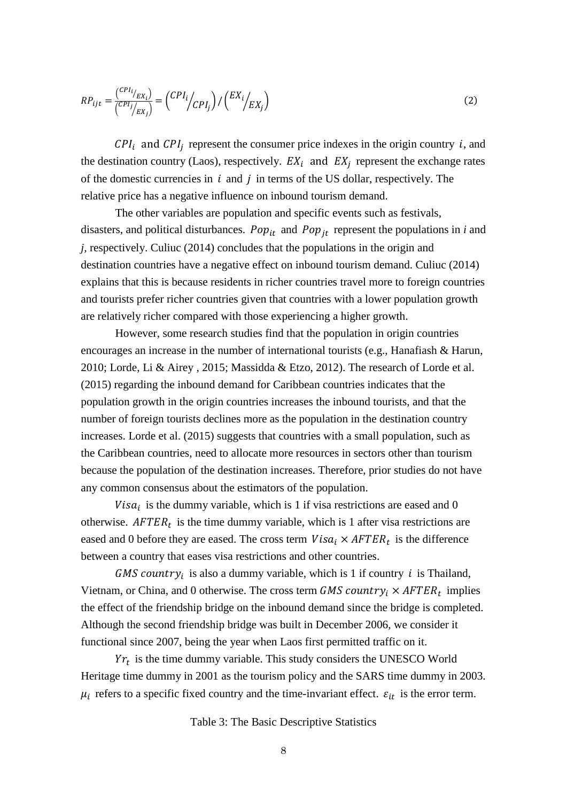$$
RP_{ijt} = \frac{\binom{CPI_i}{EX_i}}{\binom{CPI_j}{EX_j}} = \binom{CPI_i}{CPI_j} / \binom{EX_i}{EX_j}
$$
\n<sup>(2)</sup>

 $CPI_i$  and  $CPI_j$  represent the consumer price indexes in the origin country *i*, and the destination country (Laos), respectively.  $EX_i$  and  $EX_j$  represent the exchange rates of the domestic currencies in  $i$  and  $j$  in terms of the US dollar, respectively. The relative price has a negative influence on inbound tourism demand.

The other variables are population and specific events such as festivals, disasters, and political disturbances.  $Pop_{it}$  and  $Pop_{it}$  represent the populations in *i* and *j,* respectively. Culiuc (2014) concludes that the populations in the origin and destination countries have a negative effect on inbound tourism demand. Culiuc (2014) explains that this is because residents in richer countries travel more to foreign countries and tourists prefer richer countries given that countries with a lower population growth are relatively richer compared with those experiencing a higher growth.

However, some research studies find that the population in origin countries encourages an increase in the number of international tourists (e.g., Hanafiash & Harun, 2010; Lorde, Li & Airey , 2015; Massidda & Etzo, 2012). The research of Lorde et al. (2015) regarding the inbound demand for Caribbean countries indicates that the population growth in the origin countries increases the inbound tourists, and that the number of foreign tourists declines more as the population in the destination country increases. Lorde et al. (2015) suggests that countries with a small population, such as the Caribbean countries, need to allocate more resources in sectors other than tourism because the population of the destination increases. Therefore, prior studies do not have any common consensus about the estimators of the population.

Vis $a_i$  is the dummy variable, which is 1 if visa restrictions are eased and 0 otherwise.  $AFTER_t$  is the time dummy variable, which is 1 after visa restrictions are eased and 0 before they are eased. The cross term  $Visa_i \times AFTER_t$  is the difference between a country that eases visa restrictions and other countries.

GMS country<sub>i</sub> is also a dummy variable, which is 1 if country *i* is Thailand, Vietnam, or China, and 0 otherwise. The cross term GMS country<sub>i</sub>  $\times$  AFTER<sub>t</sub> implies the effect of the friendship bridge on the inbound demand since the bridge is completed. Although the second friendship bridge was built in December 2006, we consider it functional since 2007, being the year when Laos first permitted traffic on it.

 $Yr_t$  is the time dummy variable. This study considers the UNESCO World Heritage time dummy in 2001 as the tourism policy and the SARS time dummy in 2003.  $\mu_i$  refers to a specific fixed country and the time-invariant effect.  $\varepsilon_{it}$  is the error term.

Table 3: The Basic Descriptive Statistics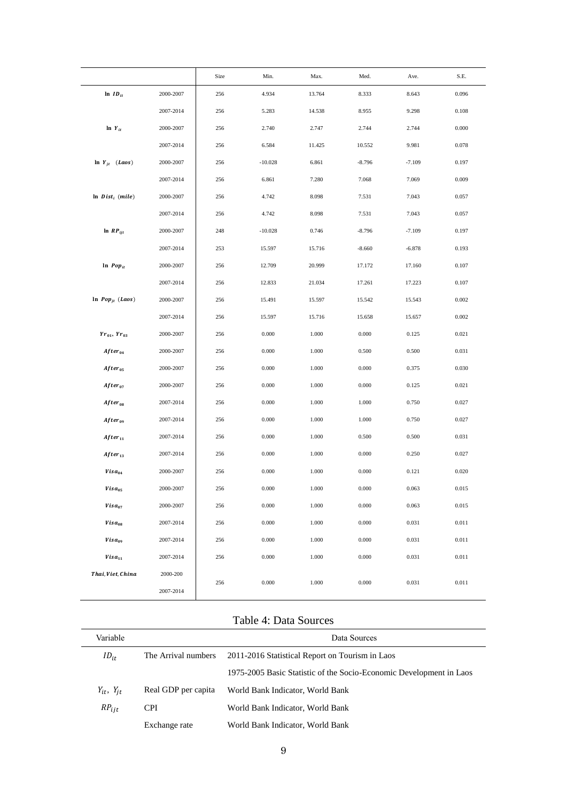|                                |           | Size | Min.      | Max.   | Med.     | Ave.     | S.E.  |
|--------------------------------|-----------|------|-----------|--------|----------|----------|-------|
| $\ln\,ID_{it}$                 | 2000-2007 | 256  | 4.934     | 13.764 | 8.333    | 8.643    | 0.096 |
|                                | 2007-2014 | 256  | 5.283     | 14.538 | 8.955    | 9.298    | 0.108 |
| $\ln Y_{it}$                   | 2000-2007 | 256  | 2.740     | 2.747  | 2.744    | 2.744    | 0.000 |
|                                | 2007-2014 | 256  | 6.584     | 11.425 | 10.552   | 9.981    | 0.078 |
| $\ln Y_{jt}$ ( <i>Laos</i> )   | 2000-2007 | 256  | $-10.028$ | 6.861  | $-8.796$ | $-7.109$ | 0.197 |
|                                | 2007-2014 | 256  | 6.861     | 7.280  | 7.068    | 7.069    | 0.009 |
| $\ln$ Dist <sub>i</sub> (mile) | 2000-2007 | 256  | 4.742     | 8.098  | 7.531    | 7.043    | 0.057 |
|                                | 2007-2014 | 256  | 4.742     | 8.098  | 7.531    | 7.043    | 0.057 |
| $ln$ $RP_{ijt}$                | 2000-2007 | 248  | $-10.028$ | 0.746  | $-8.796$ | $-7.109$ | 0.197 |
|                                | 2007-2014 | 253  | 15.597    | 15.716 | $-8.660$ | $-6.878$ | 0.193 |
| $\ln$ Pop <sub>it</sub>        | 2000-2007 | 256  | 12.709    | 20.999 | 17.172   | 17.160   | 0.107 |
|                                | 2007-2014 | 256  | 12.833    | 21.034 | 17.261   | 17.223   | 0.107 |
| $\ln~Pop_{jt}~(Laos)$          | 2000-2007 | 256  | 15.491    | 15.597 | 15.542   | 15.543   | 0.002 |
|                                | 2007-2014 | 256  | 15.597    | 15.716 | 15.658   | 15.657   | 0.002 |
| $Yr_{01}$ , $Yr_{03}$          | 2000-2007 | 256  | 0.000     | 1.000  | 0.000    | 0.125    | 0.021 |
| $After_{04}$                   | 2000-2007 | 256  | 0.000     | 1.000  | 0.500    | 0.500    | 0.031 |
| $After_{05}$                   | 2000-2007 | 256  | 0.000     | 1.000  | 0.000    | 0.375    | 0.030 |
| $After_{07}$                   | 2000-2007 | 256  | 0.000     | 1.000  | 0.000    | 0.125    | 0.021 |
| $After_{08}$                   | 2007-2014 | 256  | 0.000     | 1.000  | 1.000    | 0.750    | 0.027 |
| $After_{09}$                   | 2007-2014 | 256  | 0.000     | 1.000  | 1.000    | 0.750    | 0.027 |
| $After_{11}$                   | 2007-2014 | 256  | 0.000     | 1.000  | 0.500    | 0.500    | 0.031 |
| $After_{13}$                   | 2007-2014 | 256  | 0.000     | 1.000  | 0.000    | 0.250    | 0.027 |
| $Visa_{04}$                    | 2000-2007 | 256  | 0.000     | 1.000  | 0.000    | 0.121    | 0.020 |
| Visa <sub>05</sub>             | 2000-2007 | 256  | 0.000     | 1.000  | 0.000    | 0.063    | 0.015 |
| Visa <sub>07</sub>             | 2000-2007 | 256  | 0.000     | 1.000  | 0.000    | 0.063    | 0.015 |
| Visa <sub>08</sub>             | 2007-2014 | 256  | 0.000     | 1.000  | 0.000    | 0.031    | 0.011 |
| Visa <sub>09</sub>             | 2007-2014 | 256  | 0.000     | 1.000  | 0.000    | 0.031    | 0.011 |
| Visa <sub>11</sub>             | 2007-2014 | 256  | 0.000     | 1.000  | 0.000    | 0.031    | 0.011 |
| Thai, Viet, China              | 2000-200  | 256  | 0.000     | 1.000  | 0.000    | 0.031    | 0.011 |
|                                | 2007-2014 |      |           |        |          |          |       |

## Table 4: Data Sources

| Variable            |                     | Data Sources                                                        |  |  |
|---------------------|---------------------|---------------------------------------------------------------------|--|--|
| $ID_{it}$           | The Arrival numbers | 2011-2016 Statistical Report on Tourism in Laos                     |  |  |
|                     |                     | 1975-2005 Basic Statistic of the Socio-Economic Development in Laos |  |  |
| $Y_{it}$ , $Y_{it}$ | Real GDP per capita | World Bank Indicator, World Bank                                    |  |  |
| $RP_{\text{lit}}$   | <b>CPI</b>          | World Bank Indicator, World Bank                                    |  |  |
|                     | Exchange rate       | World Bank Indicator, World Bank                                    |  |  |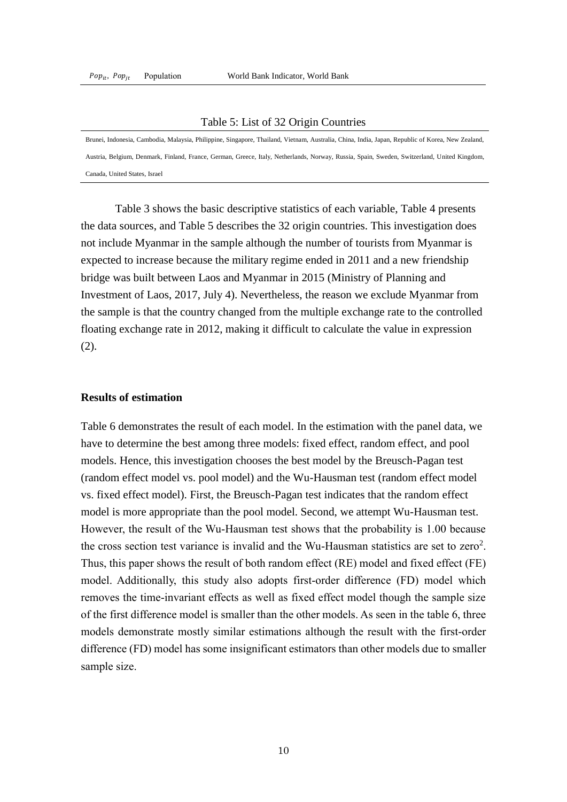#### Table 5: List of 32 Origin Countries

Brunei, Indonesia, Cambodia, Malaysia, Philippine, Singapore, Thailand, Vietnam, Australia, China, India, Japan, Republic of Korea, New Zealand, Austria, Belgium, Denmark, Finland, France, German, Greece, Italy, Netherlands, Norway, Russia, Spain, Sweden, Switzerland, United Kingdom, Canada, United States, Israel

Table 3 shows the basic descriptive statistics of each variable, Table 4 presents the data sources, and Table 5 describes the 32 origin countries. This investigation does not include Myanmar in the sample although the number of tourists from Myanmar is expected to increase because the military regime ended in 2011 and a new friendship bridge was built between Laos and Myanmar in 2015 (Ministry of Planning and Investment of Laos, 2017, July 4). Nevertheless, the reason we exclude Myanmar from the sample is that the country changed from the multiple exchange rate to the controlled floating exchange rate in 2012, making it difficult to calculate the value in expression (2).

#### **Results of estimation**

Table 6 demonstrates the result of each model. In the estimation with the panel data, we have to determine the best among three models: fixed effect, random effect, and pool models. Hence, this investigation chooses the best model by the Breusch-Pagan test (random effect model vs. pool model) and the Wu-Hausman test (random effect model vs. fixed effect model). First, the Breusch-Pagan test indicates that the random effect model is more appropriate than the pool model. Second, we attempt Wu-Hausman test. However, the result of the Wu-Hausman test shows that the probability is 1.00 because the cross section test variance is invalid and the Wu-Hausman statistics are set to zero<sup>2</sup>. Thus, this paper shows the result of both random effect (RE) model and fixed effect (FE) model. Additionally, this study also adopts first-order difference (FD) model which removes the time-invariant effects as well as fixed effect model though the sample size of the first difference model is smaller than the other models. As seen in the table 6, three models demonstrate mostly similar estimations although the result with the first-order difference (FD) model has some insignificant estimators than other models due to smaller sample size.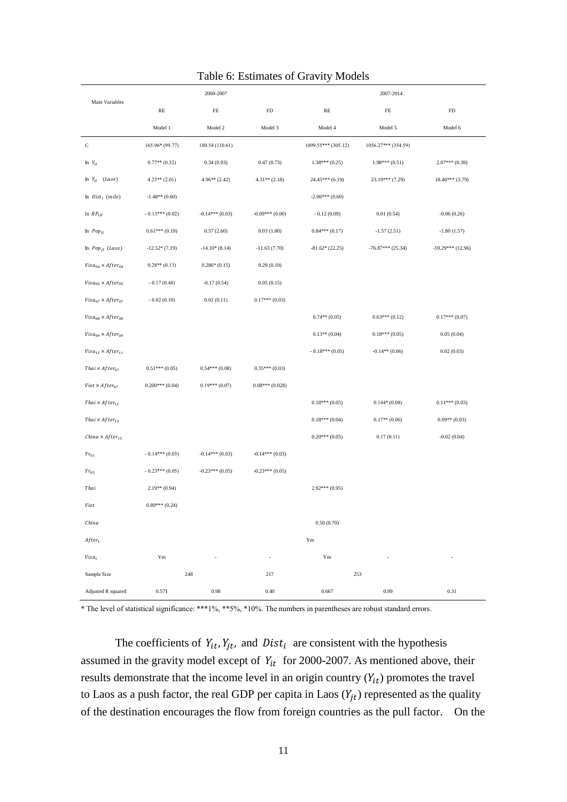|                                    | 2000-2007        |                  |                  | 2007-2014           |                     |                     |  |
|------------------------------------|------------------|------------------|------------------|---------------------|---------------------|---------------------|--|
| Main Variables                     | RE               | FE               | FD               | RE                  | FE                  | FD                  |  |
|                                    | Model 1          | Model 2          | Model 3          | Model 4             | Model 5             | Model 6             |  |
| С                                  | 165.96* (99.77)  | 180.54 (110.61)  |                  | 1099.55*** (305.12) | 1056.27*** (354.59) |                     |  |
| $ln Y_{it}$                        | $0.77**$ (0.32)  | 0.34(0.93)       | 0.47(0.73)       | $1.38***(0.25)$     | $1.98***(0.51)$     | $2.07***(0.39)$     |  |
| $ln Y_{jt}$ (Laos)                 | $4.25**$ (2.01)  | 4.96** (2.42)    | $4.31**$ (2.18)  | $24.45***(6.19)$    | 23.19*** (7.29)     | $18.40***$ (3.79)   |  |
| $\ln$ Dist <sub>i</sub> (mile)     | $-1.48**$ (0.60) |                  |                  | $-2.06***(0.60)$    |                     |                     |  |
| $ln$ $RP_{ijt}$                    | $-0.13***(0.02)$ | $-0.14***(0.03)$ | $-0.09***(0.00)$ | $-0.12(0.09)$       | 0.01(0.54)          | $-0.06(0.26)$       |  |
| $ln$ <i>Pop<sub>it</sub></i>       | $0.61***(0.19)$  | 0.57(2.60)       | 0.03(1.80)       | $0.84***(0.17)$     | $-1.57(2.51)$       | $-1.80(1.57)$       |  |
| $ln Pop_{jt} (Laos)$               | $-12.52*(7.19)$  | $-14.10*(8.14)$  | $-11.63(7.70)$   | $-81.62*(22.25)$    | $-76.87***$ (25.34) | $-59.29***$ (12.96) |  |
| $Visa_{04} \times After_{04}$      | $0.28**$ (0.13)  | $0.286*(0.15)$   | 0.29(0.19)       |                     |                     |                     |  |
| $Visa_{05} \times After_{05}$      | $-0.17(0.48)$    | $-0.17(0.54)$    | 0.05(0.15)       |                     |                     |                     |  |
| $Visa_{07} \times After_{07}$      | $-0.02(0.10)$    | 0.02(0.11)       | $0.17***(0.03)$  |                     |                     |                     |  |
| $Visa_{08} \times After_{08}$      |                  |                  |                  | $0.74**$ (0.05)     | $0.63***(0.12)$     | $0.17***(0.07)$     |  |
| $Visa_{09} \times After_{09}$      |                  |                  |                  | $0.13**$ (0.04)     | $0.18***(0.05)$     | 0.05(0.04)          |  |
| $Visa_{11} \times After_{11}$      |                  |                  |                  | $-0.18***(0.05)$    | $-0.14**$ (0.06)    | 0.02(0.03)          |  |
| Thai $\times$ After <sub>07</sub>  | $0.51***(0.05)$  | $0.54***(0.08)$  | $0.35***(0.03)$  |                     |                     |                     |  |
| Viet $\times$ After <sub>07</sub>  | $0.200***(0.04)$ | $0.19***(0.07)$  | $0.08***(0.028)$ |                     |                     |                     |  |
| Thai $\times$ After <sub>11</sub>  |                  |                  |                  | $0.18***(0.05)$     | $0.144*(0.08)$      | $0.11***(0.03)$     |  |
| Thai $\times$ After <sub>13</sub>  |                  |                  |                  | $0.18***(0.04)$     | $0.17**$ (0.06)     | $0.09**$ (0.03)     |  |
| China $\times$ After <sub>13</sub> |                  |                  |                  | $0.20***(0.05)$     | 0.17(0.11)          | $-0.02(0.04)$       |  |
| $Yr_{01}$                          | $-0.14***(0.03)$ | $-0.14***(0.03)$ | $-0.14***(0.03)$ |                     |                     |                     |  |
| $Yr_{03}$                          | $-0.23***(0.05)$ | $-0.23***(0.05)$ | $-0.23***(0.05)$ |                     |                     |                     |  |
| Thai                               | $2.19**$ (0.94)  |                  |                  | $2.92***(0.95)$     |                     |                     |  |
| Viet                               | $0.89***(0.24)$  |                  |                  |                     |                     |                     |  |
| China                              |                  |                  |                  | 0.50(0.70)          |                     |                     |  |
| $After_t$                          |                  |                  |                  | Yes                 |                     |                     |  |
| Visa <sub>i</sub>                  | Yes              |                  | ÷,               | Yes                 |                     |                     |  |
| Sample Size                        | 248              |                  | 217              | 253                 |                     |                     |  |
| Adjusted R squared                 | 0.571            | 0.98             | 0.40             | 0.667               | 0.99                | 0.31                |  |

## Table 6: Estimates of Gravity Models

\* The level of statistical significance: \*\*\*1%, \*\*5%, \*10%. The numbers in parentheses are robust standard errors.

The coefficients of  $Y_{it}$ ,  $Y_{jt}$ , and  $Dist_i$  are consistent with the hypothesis assumed in the gravity model except of  $Y_{it}$  for 2000-2007. As mentioned above, their results demonstrate that the income level in an origin country  $(Y_{it})$  promotes the travel to Laos as a push factor, the real GDP per capita in Laos  $(Y_{it})$  represented as the quality of the destination encourages the flow from foreign countries as the pull factor. On the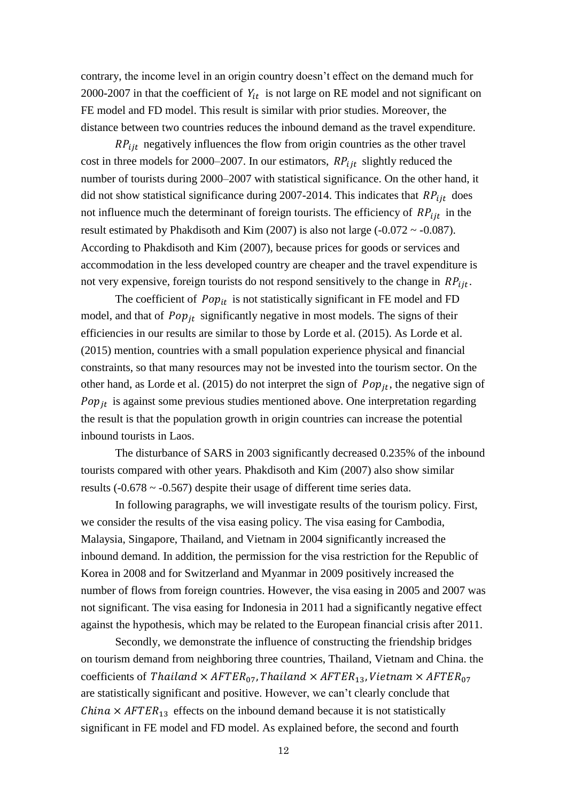contrary, the income level in an origin country doesn't effect on the demand much for 2000-2007 in that the coefficient of  $Y_{it}$  is not large on RE model and not significant on FE model and FD model. This result is similar with prior studies. Moreover, the distance between two countries reduces the inbound demand as the travel expenditure.

 $RP_{iit}$  negatively influences the flow from origin countries as the other travel cost in three models for 2000–2007. In our estimators,  $RP_{lit}$  slightly reduced the number of tourists during 2000–2007 with statistical significance. On the other hand, it did not show statistical significance during 2007-2014. This indicates that  $RP_{ijt}$  does not influence much the determinant of foreign tourists. The efficiency of  $RP_{lit}$  in the result estimated by Phakdisoth and Kim (2007) is also not large (-0.072  $\sim$  -0.087). According to Phakdisoth and Kim (2007), because prices for goods or services and accommodation in the less developed country are cheaper and the travel expenditure is not very expensive, foreign tourists do not respond sensitively to the change in  $RP_{\text{fit}}$ .

The coefficient of  $Pop_{it}$  is not statistically significant in FE model and FD model, and that of  $Pop_{it}$  significantly negative in most models. The signs of their efficiencies in our results are similar to those by Lorde et al. (2015). As Lorde et al. (2015) mention, countries with a small population experience physical and financial constraints, so that many resources may not be invested into the tourism sector. On the other hand, as Lorde et al. (2015) do not interpret the sign of  $Pop_{it}$ , the negative sign of  $Pop_{it}$  is against some previous studies mentioned above. One interpretation regarding the result is that the population growth in origin countries can increase the potential inbound tourists in Laos.

The disturbance of SARS in 2003 significantly decreased 0.235% of the inbound tourists compared with other years. Phakdisoth and Kim (2007) also show similar results ( $-0.678 \sim -0.567$ ) despite their usage of different time series data.

In following paragraphs, we will investigate results of the tourism policy. First, we consider the results of the visa easing policy. The visa easing for Cambodia, Malaysia, Singapore, Thailand, and Vietnam in 2004 significantly increased the inbound demand. In addition, the permission for the visa restriction for the Republic of Korea in 2008 and for Switzerland and Myanmar in 2009 positively increased the number of flows from foreign countries. However, the visa easing in 2005 and 2007 was not significant. The visa easing for Indonesia in 2011 had a significantly negative effect against the hypothesis, which may be related to the European financial crisis after 2011.

Secondly, we demonstrate the influence of constructing the friendship bridges on tourism demand from neighboring three countries, Thailand, Vietnam and China. the coefficients of Thailand  $\times$  AFTER<sub>07</sub>, Thailand  $\times$  AFTER<sub>13</sub>, Vietnam  $\times$  AFTER<sub>07</sub> are statistically significant and positive. However, we can't clearly conclude that *China*  $\times$  *AFTER*<sub>13</sub> effects on the inbound demand because it is not statistically significant in FE model and FD model. As explained before, the second and fourth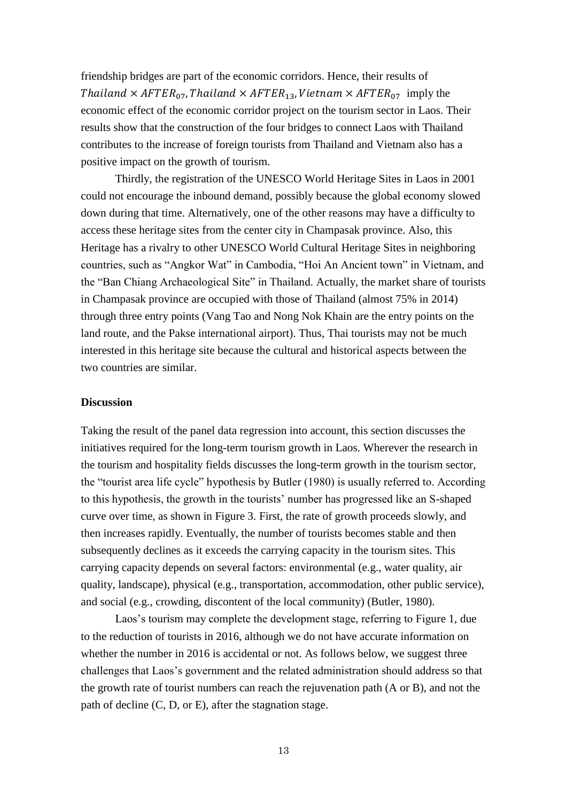friendship bridges are part of the economic corridors. Hence, their results of Thailand  $\times$  AFTER<sub>07</sub>, Thailand  $\times$  AFTER<sub>13</sub>, Vietnam  $\times$  AFTER<sub>07</sub> imply the economic effect of the economic corridor project on the tourism sector in Laos. Their results show that the construction of the four bridges to connect Laos with Thailand contributes to the increase of foreign tourists from Thailand and Vietnam also has a positive impact on the growth of tourism.

Thirdly, the registration of the UNESCO World Heritage Sites in Laos in 2001 could not encourage the inbound demand, possibly because the global economy slowed down during that time. Alternatively, one of the other reasons may have a difficulty to access these heritage sites from the center city in Champasak province. Also, this Heritage has a rivalry to other UNESCO World Cultural Heritage Sites in neighboring countries, such as "Angkor Wat" in Cambodia, "Hoi An Ancient town" in Vietnam, and the "Ban Chiang Archaeological Site" in Thailand. Actually, the market share of tourists in Champasak province are occupied with those of Thailand (almost 75% in 2014) through three entry points (Vang Tao and Nong Nok Khain are the entry points on the land route, and the Pakse international airport). Thus, Thai tourists may not be much interested in this heritage site because the cultural and historical aspects between the two countries are similar.

## **Discussion**

Taking the result of the panel data regression into account, this section discusses the initiatives required for the long-term tourism growth in Laos. Wherever the research in the tourism and hospitality fields discusses the long-term growth in the tourism sector, the "tourist area life cycle" hypothesis by Butler (1980) is usually referred to. According to this hypothesis, the growth in the tourists' number has progressed like an S-shaped curve over time, as shown in Figure 3. First, the rate of growth proceeds slowly, and then increases rapidly. Eventually, the number of tourists becomes stable and then subsequently declines as it exceeds the carrying capacity in the tourism sites. This carrying capacity depends on several factors: environmental (e.g., water quality, air quality, landscape), physical (e.g., transportation, accommodation, other public service), and social (e.g., crowding, discontent of the local community) (Butler, 1980).

Laos's tourism may complete the development stage, referring to Figure 1, due to the reduction of tourists in 2016, although we do not have accurate information on whether the number in 2016 is accidental or not. As follows below, we suggest three challenges that Laos's government and the related administration should address so that the growth rate of tourist numbers can reach the rejuvenation path (A or B), and not the path of decline (C, D, or E), after the stagnation stage.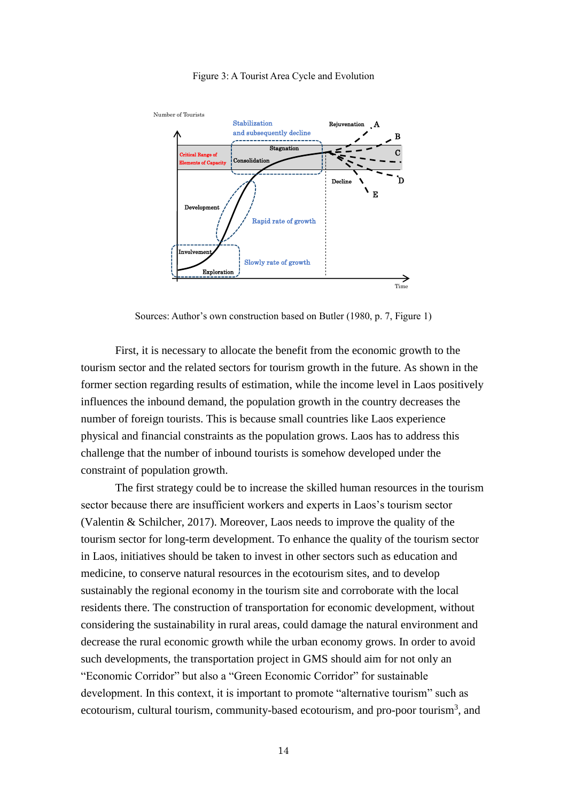

#### Figure 3: A Tourist Area Cycle and Evolution

Sources: Author's own construction based on Butler (1980, p. 7, Figure 1)

First, it is necessary to allocate the benefit from the economic growth to the tourism sector and the related sectors for tourism growth in the future. As shown in the former section regarding results of estimation, while the income level in Laos positively influences the inbound demand, the population growth in the country decreases the number of foreign tourists. This is because small countries like Laos experience physical and financial constraints as the population grows. Laos has to address this challenge that the number of inbound tourists is somehow developed under the constraint of population growth.

The first strategy could be to increase the skilled human resources in the tourism sector because there are insufficient workers and experts in Laos's tourism sector (Valentin & Schilcher, 2017). Moreover, Laos needs to improve the quality of the tourism sector for long-term development. To enhance the quality of the tourism sector in Laos, initiatives should be taken to invest in other sectors such as education and medicine, to conserve natural resources in the ecotourism sites, and to develop sustainably the regional economy in the tourism site and corroborate with the local residents there. The construction of transportation for economic development, without considering the sustainability in rural areas, could damage the natural environment and decrease the rural economic growth while the urban economy grows. In order to avoid such developments, the transportation project in GMS should aim for not only an "Economic Corridor" but also a "Green Economic Corridor" for sustainable development. In this context, it is important to promote "alternative tourism" such as ecotourism, cultural tourism, community-based ecotourism, and pro-poor tourism<sup>3</sup>, and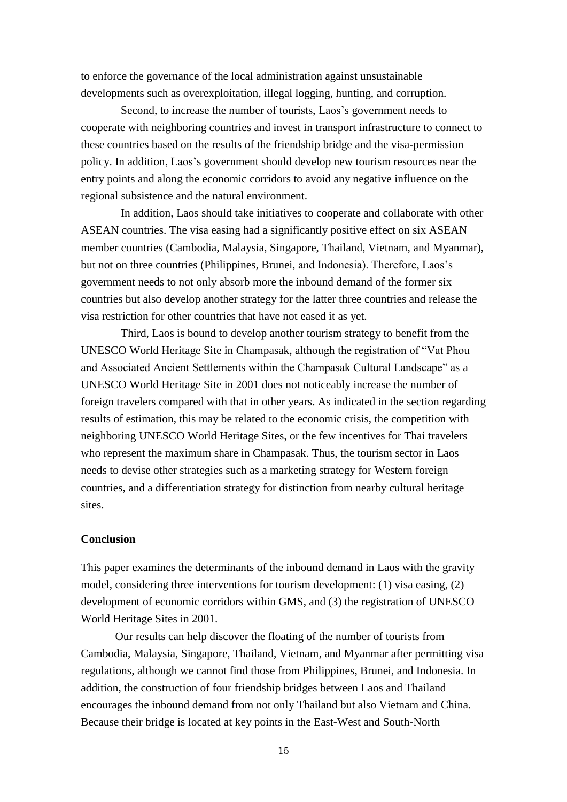to enforce the governance of the local administration against unsustainable developments such as overexploitation, illegal logging, hunting, and corruption.

Second, to increase the number of tourists, Laos's government needs to cooperate with neighboring countries and invest in transport infrastructure to connect to these countries based on the results of the friendship bridge and the visa-permission policy. In addition, Laos's government should develop new tourism resources near the entry points and along the economic corridors to avoid any negative influence on the regional subsistence and the natural environment.

In addition, Laos should take initiatives to cooperate and collaborate with other ASEAN countries. The visa easing had a significantly positive effect on six ASEAN member countries (Cambodia, Malaysia, Singapore, Thailand, Vietnam, and Myanmar), but not on three countries (Philippines, Brunei, and Indonesia). Therefore, Laos's government needs to not only absorb more the inbound demand of the former six countries but also develop another strategy for the latter three countries and release the visa restriction for other countries that have not eased it as yet.

Third, Laos is bound to develop another tourism strategy to benefit from the UNESCO World Heritage Site in Champasak, although the registration of "Vat Phou and Associated Ancient Settlements within the Champasak Cultural Landscape" as a UNESCO World Heritage Site in 2001 does not noticeably increase the number of foreign travelers compared with that in other years. As indicated in the section regarding results of estimation, this may be related to the economic crisis, the competition with neighboring UNESCO World Heritage Sites, or the few incentives for Thai travelers who represent the maximum share in Champasak. Thus, the tourism sector in Laos needs to devise other strategies such as a marketing strategy for Western foreign countries, and a differentiation strategy for distinction from nearby cultural heritage sites.

## **Conclusion**

This paper examines the determinants of the inbound demand in Laos with the gravity model, considering three interventions for tourism development: (1) visa easing, (2) development of economic corridors within GMS, and (3) the registration of UNESCO World Heritage Sites in 2001.

Our results can help discover the floating of the number of tourists from Cambodia, Malaysia, Singapore, Thailand, Vietnam, and Myanmar after permitting visa regulations, although we cannot find those from Philippines, Brunei, and Indonesia. In addition, the construction of four friendship bridges between Laos and Thailand encourages the inbound demand from not only Thailand but also Vietnam and China. Because their bridge is located at key points in the East-West and South-North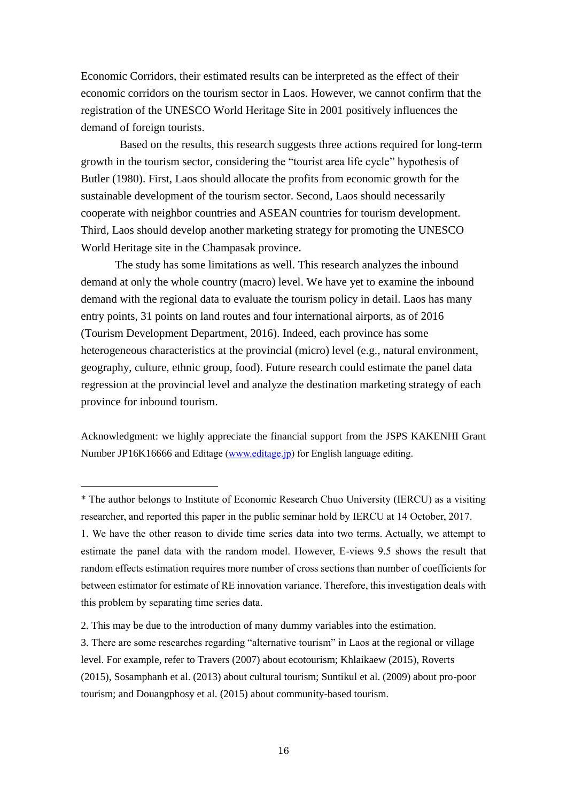Economic Corridors, their estimated results can be interpreted as the effect of their economic corridors on the tourism sector in Laos. However, we cannot confirm that the registration of the UNESCO World Heritage Site in 2001 positively influences the demand of foreign tourists.

Based on the results, this research suggests three actions required for long-term growth in the tourism sector, considering the "tourist area life cycle" hypothesis of Butler (1980). First, Laos should allocate the profits from economic growth for the sustainable development of the tourism sector. Second, Laos should necessarily cooperate with neighbor countries and ASEAN countries for tourism development. Third, Laos should develop another marketing strategy for promoting the UNESCO World Heritage site in the Champasak province.

The study has some limitations as well. This research analyzes the inbound demand at only the whole country (macro) level. We have yet to examine the inbound demand with the regional data to evaluate the tourism policy in detail. Laos has many entry points, 31 points on land routes and four international airports, as of 2016 (Tourism Development Department, 2016). Indeed, each province has some heterogeneous characteristics at the provincial (micro) level (e.g., natural environment, geography, culture, ethnic group, food). Future research could estimate the panel data regression at the provincial level and analyze the destination marketing strategy of each province for inbound tourism.

Acknowledgment: we highly appreciate the financial support from the JSPS KAKENHI Grant Number JP16K16666 and Editage [\(www.editage.jp\)](http://www.editage.jp/) for English language editing.

1. We have the other reason to divide time series data into two terms. Actually, we attempt to estimate the panel data with the random model. However, E-views 9.5 shows the result that random effects estimation requires more number of cross sections than number of coefficients for between estimator for estimate of RE innovation variance. Therefore, this investigation deals with this problem by separating time series data.

<sup>\*</sup> The author belongs to Institute of Economic Research Chuo University (IERCU) as a visiting researcher, and reported this paper in the public seminar hold by IERCU at 14 October, 2017.

<sup>2.</sup> This may be due to the introduction of many dummy variables into the estimation.

<sup>3.</sup> There are some researches regarding "alternative tourism" in Laos at the regional or village level. For example, refer to Travers (2007) about ecotourism; Khlaikaew (2015), Roverts (2015), Sosamphanh et al. (2013) about cultural tourism; Suntikul et al. (2009) about pro-poor tourism; and Douangphosy et al. (2015) about community-based tourism.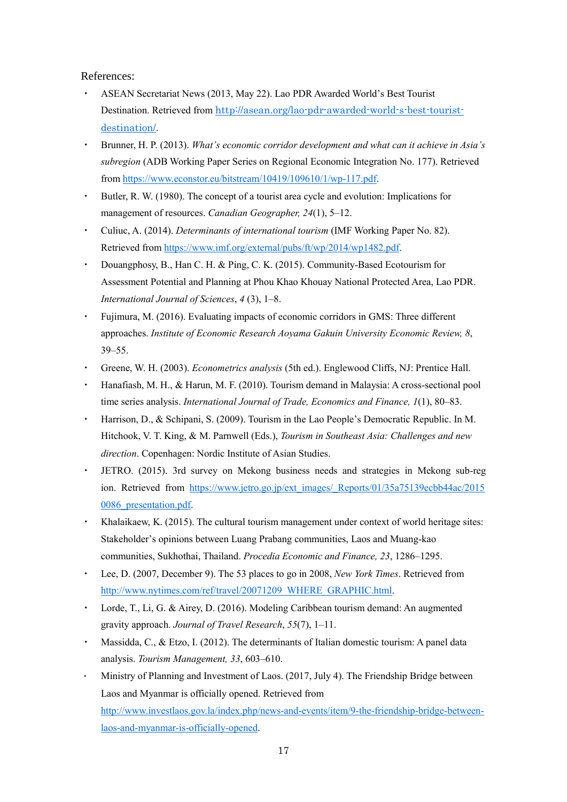References:

- ・ ASEAN Secretariat News (2013, May 22). Lao PDR Awarded World's Best Tourist Destination. Retrieved from [http://asean.org/lao-pdr-awarded-world-s-best-tourist](http://asean.org/lao-pdr-awarded-world-s-best-tourist-destination/)[destination/](http://asean.org/lao-pdr-awarded-world-s-best-tourist-destination/).
- ・ Brunner, H. P. (2013). *What's economic corridor development and what can it achieve in Asia's subregion* (ADB Working Paper Series on Regional Economic Integration No. 177). Retrieved from [https://www.econstor.eu/bitstream/10419/109610/1/wp-117.pdf.](https://www.econstor.eu/bitstream/10419/109610/1/wp-117.pdf)
- ・ Butler, R. W. (1980). The concept of a tourist area cycle and evolution: Implications for management of resources. *Canadian Geographer, 24*(1), 5–12.
- ・ Culiuc, A. (2014). *Determinants of international tourism* (IMF Working Paper No. 82). Retrieved from [https://www.imf.org/external/pubs/ft/wp/2014/wp1482.pdf.](https://www.imf.org/external/pubs/ft/wp/2014/wp1482.pdf)
- ・ Douangphosy, B., Han C. H. & Ping, C. K. (2015). Community-Based Ecotourism for Assessment Potential and Planning at Phou Khao Khouay National Protected Area, Lao PDR. *International Journal of Sciences*, *4* (3), 1–8.
- ・ Fujimura, M. (2016). Evaluating impacts of economic corridors in GMS: Three different approaches. *Institute of Economic Research Aoyama Gakuin University Economic Review, 8*, 39–55.
- ・ Greene, W. H. (2003). *Econometrics analysis* (5th ed.). Englewood Cliffs, NJ: Prentice Hall.
- ・ Hanafiash, M. H., & Harun, M. F. (2010). Tourism demand in Malaysia: A cross-sectional pool time series analysis. *International Journal of Trade, Economics and Finance, 1*(1), 80–83.
- ・ Harrison, D., & Schipani, S. (2009). Tourism in the Lao People's Democratic Republic. In M. Hitchook, V. T. King, & M. Parnwell (Eds.), *Tourism in Southeast Asia: Challenges and new direction*. Copenhagen: Nordic Institute of Asian Studies.
- JETRO. (2015). 3rd survey on Mekong business needs and strategies in Mekong sub-reg ion. Retrieved from [https://www.jetro.go.jp/ext\\_images/\\_Reports/01/35a75139ecbb44ac/2015](https://www.jetro.go.jp/ext_images/_Reports/01/35a75139ecbb44ac/20150086_presentation.pdf) [0086\\_presentation.pdf.](https://www.jetro.go.jp/ext_images/_Reports/01/35a75139ecbb44ac/20150086_presentation.pdf)
- Khalaikaew, K. (2015). The cultural tourism management under context of world heritage sites: Stakeholder's opinions between Luang Prabang communities, Laos and Muang-kao communities, Sukhothai, Thailand. *Procedia Economic and Finance, 23*, 1286–1295.
- ・ Lee, D. (2007, December 9). The 53 places to go in 2008, *New York Times*. Retrieved from [http://www.nytimes.com/ref/travel/20071209\\_WHERE\\_GRAPHIC.html.](http://www.nytimes.com/ref/travel/20071209_WHERE_GRAPHIC.html)
- Lorde, T., Li, G. & Airey, D. (2016). Modeling Caribbean tourism demand: An augmented gravity approach. *Journal of Travel Research*, *55*(7), 1–11.
- Massidda, C., & Etzo, I. (2012). The determinants of Italian domestic tourism: A panel data analysis. *Tourism Management, 33*, 603–610.
- Ministry of Planning and Investment of Laos. (2017, July 4). The Friendship Bridge between Laos and Myanmar is officially opened. Retrieved from [http://www.investlaos.gov.la/index.php/news-and-events/item/9-the-friendship-bridge-between](http://www.investlaos.gov.la/index.php/news-and-events/item/9-the-friendship-bridge-between-laos-and-myanmar-is-officially-opened)[laos-and-myanmar-is-officially-opened.](http://www.investlaos.gov.la/index.php/news-and-events/item/9-the-friendship-bridge-between-laos-and-myanmar-is-officially-opened)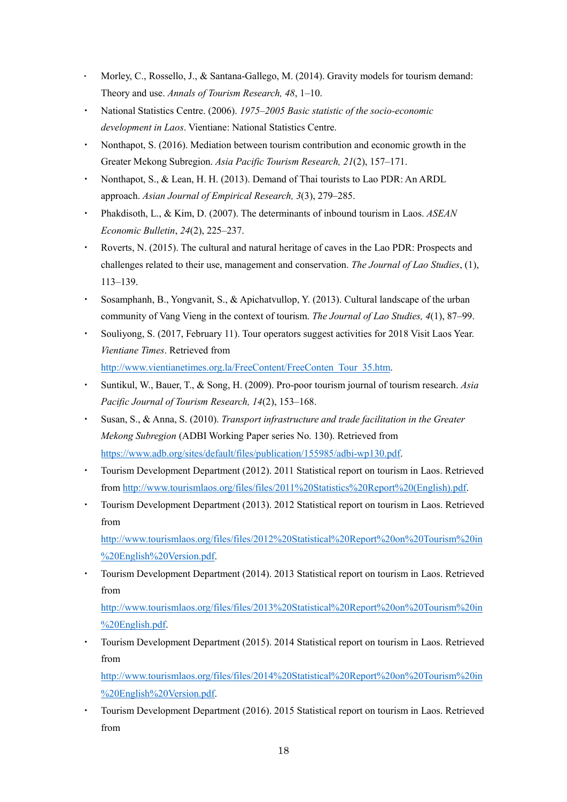- Morley, C., Rossello, J., & Santana-Gallego, M. (2014). Gravity models for tourism demand: Theory and use. *Annals of Tourism Research, 48*, 1–10.
- ・ National Statistics Centre. (2006). *1975–2005 Basic statistic of the socio-economic development in Laos*. Vientiane: National Statistics Centre.
- ・ Nonthapot, S. (2016). Mediation between tourism contribution and economic growth in the Greater Mekong Subregion. *Asia Pacific Tourism Research, 21*(2), 157–171.
- Nonthapot, S., & Lean, H. H. (2013). Demand of Thai tourists to Lao PDR: An ARDL approach. *Asian Journal of Empirical Research, 3*(3), 279–285.
- Phakdisoth, L., & Kim, D. (2007). The determinants of inbound tourism in Laos. *ASEAN Economic Bulletin*, *24*(2), 225–237.
- ・ Roverts, N. (2015). The cultural and natural heritage of caves in the Lao PDR: Prospects and challenges related to their use, management and conservation. *The Journal of Lao Studies*, (1), 113–139.
- Sosamphanh, B., Yongvanit, S., & Apichatvullop, Y. (2013). Cultural landscape of the urban community of Vang Vieng in the context of tourism. *The Journal of Lao Studies, 4*(1), 87–99.
- ・ Souliyong, S. (2017, February 11). Tour operators suggest activities for 2018 Visit Laos Year. *Vientiane Times*. Retrieved from [http://www.vientianetimes.org.la/FreeContent/FreeConten\\_Tour\\_35.htm.](http://www.vientianetimes.org.la/FreeContent/FreeConten_Tour_35.htm)
- Suntikul, W., Bauer, T., & Song, H. (2009). Pro-poor tourism journal of tourism research. Asia *Pacific Journal of Tourism Research, 14*(2), 153–168.
- ・ Susan, S., & Anna, S. (2010). *Transport infrastructure and trade facilitation in the Greater Mekong Subregion* (ADBI Working Paper series No. 130). Retrieved from [https://www.adb.org/sites/default/files/publication/155985/adbi-wp130.pdf.](https://www.adb.org/sites/default/files/publication/155985/adbi-wp130.pdf)
- ・ Tourism Development Department (2012). 2011 Statistical report on tourism in Laos. Retrieved from [http://www.tourismlaos.org/files/files/2011%20Statistics%20Report%20\(English\).pdf.](http://www.tourismlaos.org/files/files/2011%20Statistics%20Report%20(English).pdf)
- ・ Tourism Development Department (2013). 2012 Statistical report on tourism in Laos. Retrieved from

[http://www.tourismlaos.org/files/files/2012%20Statistical%20Report%20on%20Tourism%20in](http://www.tourismlaos.org/files/files/2012%20Statistical%20Report%20on%20Tourism%20in%20English%20Version.pdf) [%20English%20Version.pdf.](http://www.tourismlaos.org/files/files/2012%20Statistical%20Report%20on%20Tourism%20in%20English%20Version.pdf)

・ Tourism Development Department (2014). 2013 Statistical report on tourism in Laos. Retrieved from

[http://www.tourismlaos.org/files/files/2013%20Statistical%20Report%20on%20Tourism%20in](http://www.tourismlaos.org/files/files/2013%20Statistical%20Report%20on%20Tourism%20in%20English.pdf) [%20English.pdf.](http://www.tourismlaos.org/files/files/2013%20Statistical%20Report%20on%20Tourism%20in%20English.pdf)

Tourism Development Department (2015). 2014 Statistical report on tourism in Laos. Retrieved from

[http://www.tourismlaos.org/files/files/2014%20Statistical%20Report%20on%20Tourism%20in](http://www.tourismlaos.org/files/files/2014%20Statistical%20Report%20on%20Tourism%20in%20English%20Version.pdf) [%20English%20Version.pdf.](http://www.tourismlaos.org/files/files/2014%20Statistical%20Report%20on%20Tourism%20in%20English%20Version.pdf)

・ Tourism Development Department (2016). 2015 Statistical report on tourism in Laos. Retrieved from